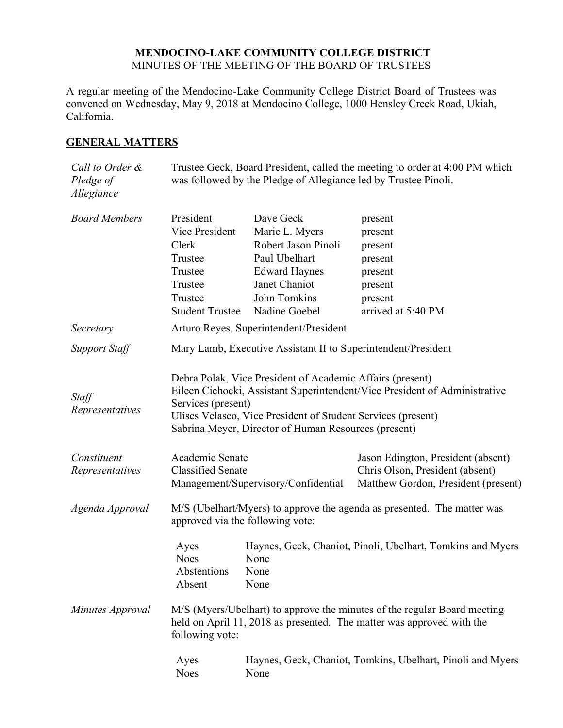### **MENDOCINO-LAKE COMMUNITY COLLEGE DISTRICT** MINUTES OF THE MEETING OF THE BOARD OF TRUSTEES

A regular meeting of the Mendocino-Lake Community College District Board of Trustees was convened on Wednesday, May 9, 2018 at Mendocino College, 1000 Hensley Creek Road, Ukiah, California.

## **GENERAL MATTERS**

| Call to Order &<br>Pledge of<br>Allegiance | Trustee Geck, Board President, called the meeting to order at 4:00 PM which<br>was followed by the Pledge of Allegiance led by Trustee Pinoli.                                                                                                                                        |                                       |                                                                       |
|--------------------------------------------|---------------------------------------------------------------------------------------------------------------------------------------------------------------------------------------------------------------------------------------------------------------------------------------|---------------------------------------|-----------------------------------------------------------------------|
| <b>Board Members</b>                       | President                                                                                                                                                                                                                                                                             | Dave Geck                             | present                                                               |
|                                            | Vice President                                                                                                                                                                                                                                                                        | Marie L. Myers                        | present                                                               |
|                                            | Clerk                                                                                                                                                                                                                                                                                 | Robert Jason Pinoli                   | present                                                               |
|                                            | Trustee                                                                                                                                                                                                                                                                               | Paul Ubelhart                         | present                                                               |
|                                            | Trustee<br>Trustee                                                                                                                                                                                                                                                                    | <b>Edward Haynes</b><br>Janet Chaniot | present<br>present                                                    |
|                                            | Trustee                                                                                                                                                                                                                                                                               | John Tomkins                          |                                                                       |
|                                            | <b>Student Trustee</b>                                                                                                                                                                                                                                                                | Nadine Goebel                         | present<br>arrived at 5:40 PM                                         |
|                                            |                                                                                                                                                                                                                                                                                       |                                       |                                                                       |
| Secretary                                  | Arturo Reyes, Superintendent/President                                                                                                                                                                                                                                                |                                       |                                                                       |
| <b>Support Staff</b>                       | Mary Lamb, Executive Assistant II to Superintendent/President                                                                                                                                                                                                                         |                                       |                                                                       |
| Staff<br>Representatives                   | Debra Polak, Vice President of Academic Affairs (present)<br>Eileen Cichocki, Assistant Superintendent/Vice President of Administrative<br>Services (present)<br>Ulises Velasco, Vice President of Student Services (present)<br>Sabrina Meyer, Director of Human Resources (present) |                                       |                                                                       |
| Constituent<br>Representatives             | Academic Senate<br><b>Classified Senate</b>                                                                                                                                                                                                                                           |                                       | Jason Edington, President (absent)<br>Chris Olson, President (absent) |
|                                            | Management/Supervisory/Confidential                                                                                                                                                                                                                                                   |                                       | Matthew Gordon, President (present)                                   |
| Agenda Approval                            | M/S (Ubelhart/Myers) to approve the agenda as presented. The matter was<br>approved via the following vote:                                                                                                                                                                           |                                       |                                                                       |
|                                            | Ayes<br><b>Noes</b><br>Abstentions<br>Absent                                                                                                                                                                                                                                          | None<br>None<br>None                  | Haynes, Geck, Chaniot, Pinoli, Ubelhart, Tomkins and Myers            |
| Minutes Approval                           | M/S (Myers/Ubelhart) to approve the minutes of the regular Board meeting<br>held on April 11, 2018 as presented. The matter was approved with the<br>following vote:                                                                                                                  |                                       |                                                                       |
|                                            | Ayes<br><b>Noes</b>                                                                                                                                                                                                                                                                   | None                                  | Haynes, Geck, Chaniot, Tomkins, Ubelhart, Pinoli and Myers            |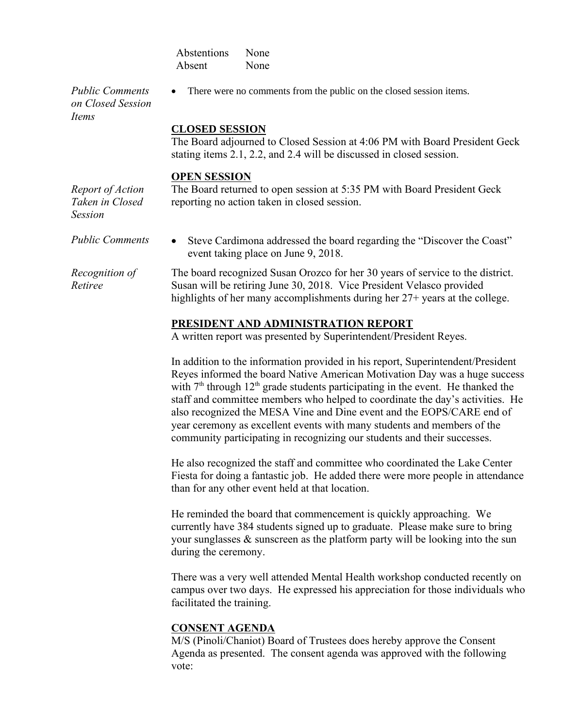| Abstentions | None |
|-------------|------|
| Absent      | None |

*Public Comments on Closed Session Items*

There were no comments from the public on the closed session items.

### **CLOSED SESSION**

The Board adjourned to Closed Session at 4:06 PM with Board President Geck stating items 2.1, 2.2, and 2.4 will be discussed in closed session.

#### **OPEN SESSION**

*Report of Action Taken in Closed Session* The Board returned to open session at 5:35 PM with Board President Geck reporting no action taken in closed session.

*Public Comments* • Steve Cardimona addressed the board regarding the "Discover the Coast" event taking place on June 9, 2018.

*Recognition of Retiree* The board recognized Susan Orozco for her 30 years of service to the district. Susan will be retiring June 30, 2018. Vice President Velasco provided highlights of her many accomplishments during her 27+ years at the college.

### **PRESIDENT AND ADMINISTRATION REPORT**

A written report was presented by Superintendent/President Reyes.

In addition to the information provided in his report, Superintendent/President Reyes informed the board Native American Motivation Day was a huge success with  $7<sup>th</sup>$  through  $12<sup>th</sup>$  grade students participating in the event. He thanked the staff and committee members who helped to coordinate the day's activities. He also recognized the MESA Vine and Dine event and the EOPS/CARE end of year ceremony as excellent events with many students and members of the community participating in recognizing our students and their successes.

He also recognized the staff and committee who coordinated the Lake Center Fiesta for doing a fantastic job. He added there were more people in attendance than for any other event held at that location.

He reminded the board that commencement is quickly approaching. We currently have 384 students signed up to graduate. Please make sure to bring your sunglasses & sunscreen as the platform party will be looking into the sun during the ceremony.

There was a very well attended Mental Health workshop conducted recently on campus over two days. He expressed his appreciation for those individuals who facilitated the training.

### **CONSENT AGENDA**

M/S (Pinoli/Chaniot) Board of Trustees does hereby approve the Consent Agenda as presented. The consent agenda was approved with the following vote: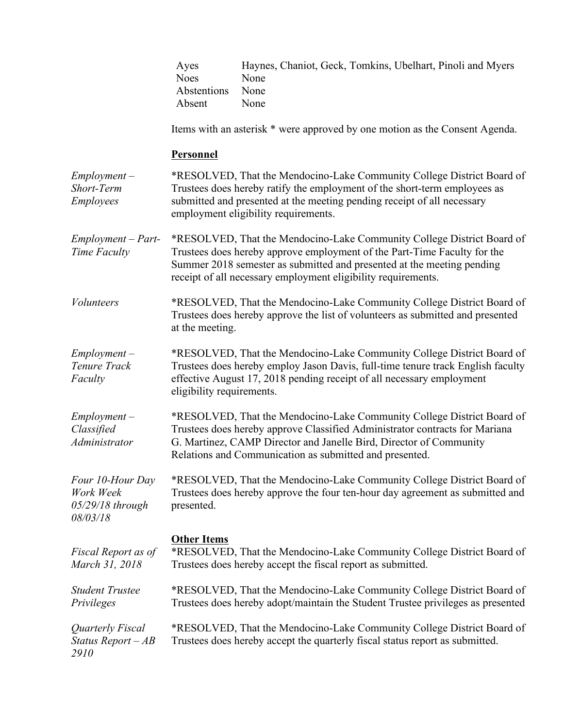|                                                                 | Ayes<br><b>Noes</b><br>Abstentions<br>Absent                                                                                                                                                                                                                                                  | Haynes, Chaniot, Geck, Tomkins, Ubelhart, Pinoli and Myers<br>None<br>None<br>None                                                    |  |
|-----------------------------------------------------------------|-----------------------------------------------------------------------------------------------------------------------------------------------------------------------------------------------------------------------------------------------------------------------------------------------|---------------------------------------------------------------------------------------------------------------------------------------|--|
|                                                                 | Items with an asterisk * were approved by one motion as the Consent Agenda.                                                                                                                                                                                                                   |                                                                                                                                       |  |
|                                                                 | <b>Personnel</b>                                                                                                                                                                                                                                                                              |                                                                                                                                       |  |
| $Employment -$<br>Short-Term<br><b>Employees</b>                | *RESOLVED, That the Mendocino-Lake Community College District Board of<br>Trustees does hereby ratify the employment of the short-term employees as<br>submitted and presented at the meeting pending receipt of all necessary<br>employment eligibility requirements.                        |                                                                                                                                       |  |
| $Employment - Part-$<br>Time Faculty                            | *RESOLVED, That the Mendocino-Lake Community College District Board of<br>Trustees does hereby approve employment of the Part-Time Faculty for the<br>Summer 2018 semester as submitted and presented at the meeting pending<br>receipt of all necessary employment eligibility requirements. |                                                                                                                                       |  |
| <i>Volunteers</i>                                               | *RESOLVED, That the Mendocino-Lake Community College District Board of<br>Trustees does hereby approve the list of volunteers as submitted and presented<br>at the meeting.                                                                                                                   |                                                                                                                                       |  |
| $Employment -$<br>Tenure Track<br>Faculty                       | *RESOLVED, That the Mendocino-Lake Community College District Board of<br>Trustees does hereby employ Jason Davis, full-time tenure track English faculty<br>effective August 17, 2018 pending receipt of all necessary employment<br>eligibility requirements.                               |                                                                                                                                       |  |
| $Employment -$<br>Classified<br>Administrator                   | *RESOLVED, That the Mendocino-Lake Community College District Board of<br>Trustees does hereby approve Classified Administrator contracts for Mariana<br>G. Martinez, CAMP Director and Janelle Bird, Director of Community<br>Relations and Communication as submitted and presented.        |                                                                                                                                       |  |
| Four 10-Hour Day<br>Work Week<br>$05/29/18$ through<br>08/03/18 | *RESOLVED, That the Mendocino-Lake Community College District Board of<br>Trustees does hereby approve the four ten-hour day agreement as submitted and<br>presented.                                                                                                                         |                                                                                                                                       |  |
| Fiscal Report as of<br>March 31, 2018                           | <b>Other Items</b>                                                                                                                                                                                                                                                                            | *RESOLVED, That the Mendocino-Lake Community College District Board of<br>Trustees does hereby accept the fiscal report as submitted. |  |
| <b>Student Trustee</b><br>Privileges                            | *RESOLVED, That the Mendocino-Lake Community College District Board of<br>Trustees does hereby adopt/maintain the Student Trustee privileges as presented                                                                                                                                     |                                                                                                                                       |  |
| Quarterly Fiscal<br>Status Report $-AB$<br>2910                 | *RESOLVED, That the Mendocino-Lake Community College District Board of<br>Trustees does hereby accept the quarterly fiscal status report as submitted.                                                                                                                                        |                                                                                                                                       |  |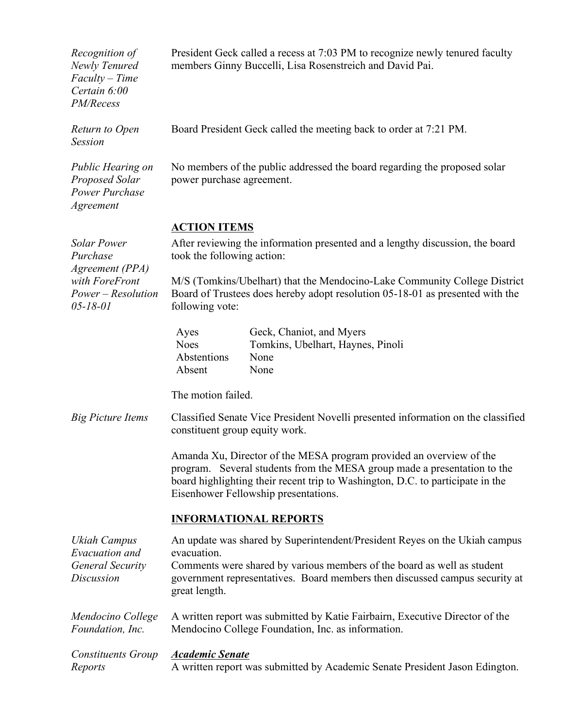| Recognition of<br>Newly Tenured<br>$Faculty - Time$<br>Certain 6:00<br>PM/Recess                            | President Geck called a recess at 7:03 PM to recognize newly tenured faculty<br>members Ginny Buccelli, Lisa Rosenstreich and David Pai.                                                                                                                                  |                                                                               |  |
|-------------------------------------------------------------------------------------------------------------|---------------------------------------------------------------------------------------------------------------------------------------------------------------------------------------------------------------------------------------------------------------------------|-------------------------------------------------------------------------------|--|
| Return to Open<br><b>Session</b>                                                                            | Board President Geck called the meeting back to order at 7:21 PM.                                                                                                                                                                                                         |                                                                               |  |
| Public Hearing on<br>Proposed Solar<br>Power Purchase<br>Agreement                                          | No members of the public addressed the board regarding the proposed solar<br>power purchase agreement.                                                                                                                                                                    |                                                                               |  |
|                                                                                                             | <b>ACTION ITEMS</b>                                                                                                                                                                                                                                                       |                                                                               |  |
| <b>Solar Power</b><br>Purchase<br>Agreement (PPA)<br>with ForeFront<br>Power – Resolution<br>$05 - 18 - 01$ | After reviewing the information presented and a lengthy discussion, the board<br>took the following action:                                                                                                                                                               |                                                                               |  |
|                                                                                                             | M/S (Tomkins/Ubelhart) that the Mendocino-Lake Community College District<br>Board of Trustees does hereby adopt resolution 05-18-01 as presented with the<br>following vote:                                                                                             |                                                                               |  |
|                                                                                                             | Ayes<br><b>Noes</b><br>Abstentions<br>Absent                                                                                                                                                                                                                              | Geck, Chaniot, and Myers<br>Tomkins, Ubelhart, Haynes, Pinoli<br>None<br>None |  |
|                                                                                                             | The motion failed.                                                                                                                                                                                                                                                        |                                                                               |  |
| <b>Big Picture Items</b>                                                                                    | Classified Senate Vice President Novelli presented information on the classified<br>constituent group equity work.                                                                                                                                                        |                                                                               |  |
|                                                                                                             | Amanda Xu, Director of the MESA program provided an overview of the<br>program. Several students from the MESA group made a presentation to the<br>board highlighting their recent trip to Washington, D.C. to participate in the<br>Eisenhower Fellowship presentations. |                                                                               |  |
|                                                                                                             | <b>INFORMATIONAL REPORTS</b>                                                                                                                                                                                                                                              |                                                                               |  |
| Ukiah Campus<br>Evacuation and                                                                              | An update was shared by Superintendent/President Reyes on the Ukiah campus<br>evacuation.                                                                                                                                                                                 |                                                                               |  |
| <b>General Security</b><br>Discussion                                                                       | Comments were shared by various members of the board as well as student<br>government representatives. Board members then discussed campus security at<br>great length.                                                                                                   |                                                                               |  |
| Mendocino College<br>Foundation, Inc.                                                                       | A written report was submitted by Katie Fairbairn, Executive Director of the<br>Mendocino College Foundation, Inc. as information.                                                                                                                                        |                                                                               |  |
| Constituents Group<br>Reports                                                                               | <b>Academic Senate</b><br>A written report was submitted by Academic Senate President Jason Edington.                                                                                                                                                                     |                                                                               |  |